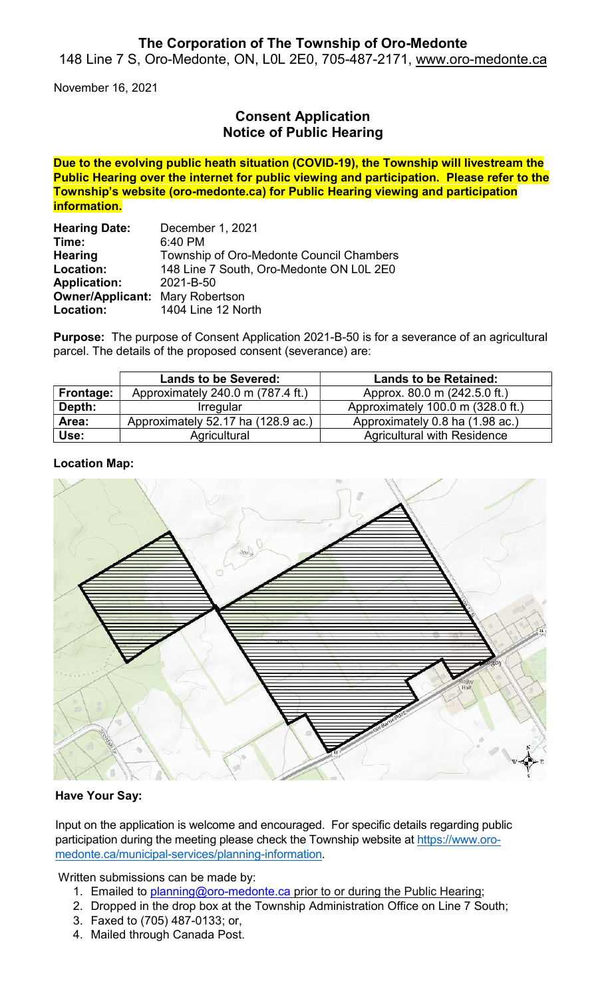## The Corporation of The Township of Oro-Medonte

148 Line 7 S, Oro-Medonte, ON, L0L 2E0, 705-487-2171, www.oro-medonte.ca

November 16, 2021

# Consent Application Notice of Public Hearing

Due to the evolving public heath situation (COVID-19), the Township will livestream the Public Hearing over the internet for public viewing and participation. Please refer to the Township's website (oro-medonte.ca) for Public Hearing viewing and participation information.

| <b>Hearing Date:</b>                   | December 1, 2021                         |
|----------------------------------------|------------------------------------------|
| Time:                                  | 6:40 PM                                  |
| <b>Hearing</b>                         | Township of Oro-Medonte Council Chambers |
| Location:                              | 148 Line 7 South, Oro-Medonte ON L0L 2E0 |
| <b>Application:</b>                    | 2021-B-50                                |
| <b>Owner/Applicant: Mary Robertson</b> |                                          |
| Location:                              | 1404 Line 12 North                       |

Purpose: The purpose of Consent Application 2021-B-50 is for a severance of an agricultural parcel. The details of the proposed consent (severance) are:

|           | <b>Lands to be Severed:</b>        | <b>Lands to be Retained:</b>       |
|-----------|------------------------------------|------------------------------------|
| Frontage: | Approximately 240.0 m (787.4 ft.)  | Approx. 80.0 m (242.5.0 ft.)       |
| Depth:    | <b>Irregular</b>                   | Approximately 100.0 m (328.0 ft.)  |
| Area:     | Approximately 52.17 ha (128.9 ac.) | Approximately 0.8 ha (1.98 ac.)    |
| Use:      | Agricultural                       | <b>Agricultural with Residence</b> |

#### Location Map:



### Have Your Say:

Input on the application is welcome and encouraged. For specific details regarding public participation during the meeting please check the Township website at https://www.oromedonte.ca/municipal-services/planning-information.

Written submissions can be made by:

- 1. Emailed to planning@oro-medonte.ca prior to or during the Public Hearing;
- 2. Dropped in the drop box at the Township Administration Office on Line 7 South;
- 3. Faxed to (705) 487-0133; or,
- 4. Mailed through Canada Post.